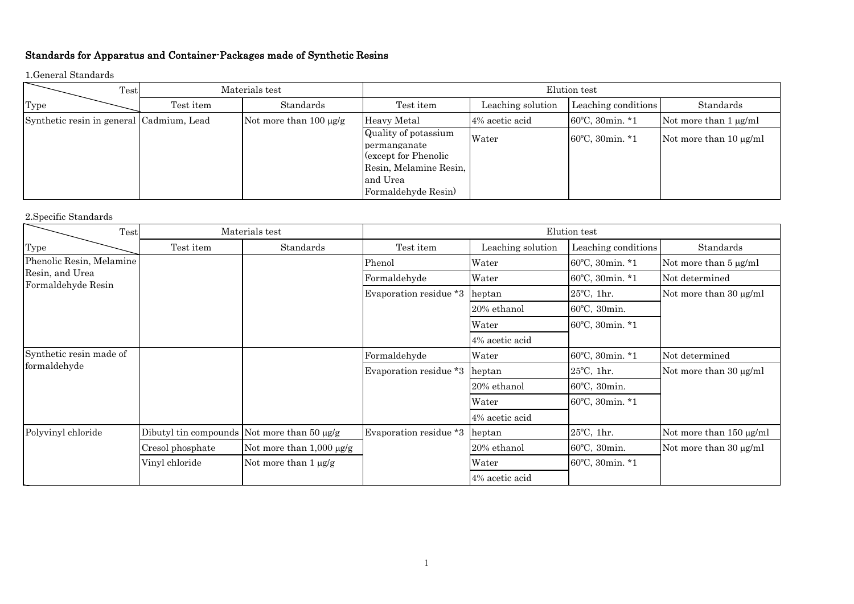## Standards for Apparatus and Container-Packages made of Synthetic Resins

1.General Standards

| Test                                     | Materials test |                             | Elution test                                                                                                             |                   |                           |                             |
|------------------------------------------|----------------|-----------------------------|--------------------------------------------------------------------------------------------------------------------------|-------------------|---------------------------|-----------------------------|
| Type                                     | Test item      | Standards                   | Test item                                                                                                                | Leaching solution | Leaching conditions       | Standards                   |
| Synthetic resin in general Cadmium, Lead |                | Not more than $100 \mu g/g$ | Heavy Metal                                                                                                              | 4% acetic acid    | $60^{\circ}$ C, 30min. *1 | Not more than $1 \mu g/ml$  |
|                                          |                |                             | Quality of potassium<br>permanganate<br>(except for Phenolic<br>Resin, Melamine Resin,<br>and Urea<br>Formaldehyde Resin | Water             | $60^{\circ}$ C, 30min. *1 | Not more than $10 \mu g/ml$ |

## 2.Specific Standards

| Test                     | Materials test   |                                             | Elution test           |                   |                      |                            |
|--------------------------|------------------|---------------------------------------------|------------------------|-------------------|----------------------|----------------------------|
| Type                     | Test item        | Standards                                   | Test item              | Leaching solution | Leaching conditions  | Standards                  |
| Phenolic Resin, Melamine |                  |                                             | Phenol                 | Water             | 60°C, 30min. *1      | Not more than $5 \mu g/ml$ |
| Resin, and Urea          |                  |                                             | Formaldehyde           | Water             | 60°C, 30min. *1      | Not determined             |
| Formaldehyde Resin       |                  |                                             | Evaporation residue *3 | heptan            | $25^{\circ}$ C, 1hr. | Not more than 30 μg/ml     |
|                          |                  |                                             |                        | 20% ethanol       | 60°C, 30min.         |                            |
|                          |                  |                                             |                        | Water             | 60°C, 30min. *1      |                            |
|                          |                  |                                             |                        | 4% acetic acid    |                      |                            |
| Synthetic resin made of  |                  |                                             | Formaldehyde           | Water             | 60°C, 30min. *1      | Not determined             |
| formaldehyde             |                  |                                             | Evaporation residue *3 | heptan            | $25^{\circ}$ C, 1hr. | Not more than 30 μg/ml     |
|                          |                  |                                             |                        | 20% ethanol       | 60°C, 30min.         |                            |
|                          |                  |                                             |                        | Water             | 60°C, 30min. *1      |                            |
|                          |                  |                                             |                        | 4% acetic acid    |                      |                            |
| Polyvinyl chloride       |                  | Dibutyl tin compounds Not more than 50 µg/g | Evaporation residue *3 | heptan            | 25°C, 1hr.           | Not more than 150 µg/ml    |
|                          | Cresol phosphate | Not more than $1,000 \mu g/g$               |                        | 20% ethanol       | 60°C, 30min.         | Not more than 30 μg/ml     |
|                          | Vinyl chloride   | Not more than $1 \mu g/g$                   |                        | Water             | 60°C, 30min. *1      |                            |
|                          |                  |                                             |                        | 4% acetic acid    |                      |                            |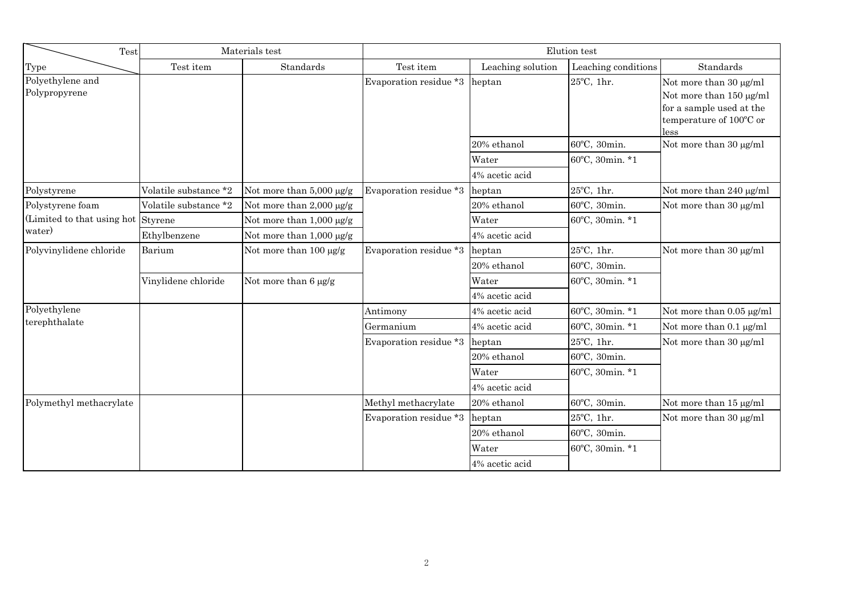| Test                               | Materials test        |                               | Elution test                  |                   |                      |                                                                                                                  |
|------------------------------------|-----------------------|-------------------------------|-------------------------------|-------------------|----------------------|------------------------------------------------------------------------------------------------------------------|
| Type                               | Test item             | Standards                     | Test item                     | Leaching solution | Leaching conditions  | Standards                                                                                                        |
| Polyethylene and<br>Polypropyrene  |                       |                               | Evaporation residue *3 heptan |                   | 25°C, 1hr.           | Not more than 30 μg/ml<br>Not more than 150 µg/ml<br>for a sample used at the<br>temperature of 100°C or<br>less |
|                                    |                       |                               |                               | 20% ethanol       | 60°C, 30min.         | Not more than 30 µg/ml                                                                                           |
|                                    |                       |                               |                               | Water             | 60°C, 30min. *1      |                                                                                                                  |
|                                    |                       |                               |                               | 4% acetic acid    |                      |                                                                                                                  |
| Polystyrene                        | Volatile substance *2 | Not more than 5,000 µg/g      | Evaporation residue *3        | heptan            | 25°C, 1hr.           | Not more than 240 µg/ml                                                                                          |
| Polystyrene foam                   | Volatile substance *2 | Not more than $2,000 \mu g/g$ |                               | 20% ethanol       | 60°C, 30min.         | Not more than 30 μg/ml                                                                                           |
| (Limited to that using hot Styrene |                       | Not more than $1,000 \mu g/g$ |                               | Water             | 60°C, 30min. *1      |                                                                                                                  |
| water)                             | Ethylbenzene          | Not more than 1,000 µg/g      |                               | 4% acetic acid    |                      |                                                                                                                  |
| Polyvinylidene chloride            | Barium                | Not more than $100 \mu g/g$   | Evaporation residue *3        | heptan            | 25°C, 1hr.           | Not more than 30 μg/ml                                                                                           |
|                                    |                       |                               |                               | 20% ethanol       | 60°C, 30min.         |                                                                                                                  |
|                                    | Vinylidene chloride   | Not more than $6 \mu g/g$     |                               | Water             | 60°C, 30min. *1      |                                                                                                                  |
|                                    |                       |                               |                               | 4% acetic acid    |                      |                                                                                                                  |
| Polyethylene                       |                       |                               | Antimony                      | 4% acetic acid    | 60°C, 30min. *1      | Not more than 0.05 µg/ml                                                                                         |
| terephthalate                      |                       |                               | Germanium                     | 4% acetic acid    | 60°C, 30min. *1      | Not more than 0.1 µg/ml                                                                                          |
|                                    |                       |                               | Evaporation residue *3        | heptan            | 25°C, 1hr.           | Not more than 30 μg/ml                                                                                           |
|                                    |                       |                               |                               | 20% ethanol       | 60°C, 30min.         |                                                                                                                  |
|                                    |                       |                               |                               | Water             | 60°C, 30min. *1      |                                                                                                                  |
|                                    |                       |                               |                               | 4% acetic acid    |                      |                                                                                                                  |
| Polymethyl methacrylate            |                       |                               | Methyl methacrylate           | 20% ethanol       | 60°C, 30min.         | Not more than 15 µg/ml                                                                                           |
|                                    |                       |                               | Evaporation residue *3        | heptan            | $25^{\circ}$ C, 1hr. | Not more than 30 µg/ml                                                                                           |
|                                    |                       |                               |                               | 20% ethanol       | 60°C, 30min.         |                                                                                                                  |
|                                    |                       |                               |                               | Water             | 60°C, 30min. *1      |                                                                                                                  |
|                                    |                       |                               |                               | 4% acetic acid    |                      |                                                                                                                  |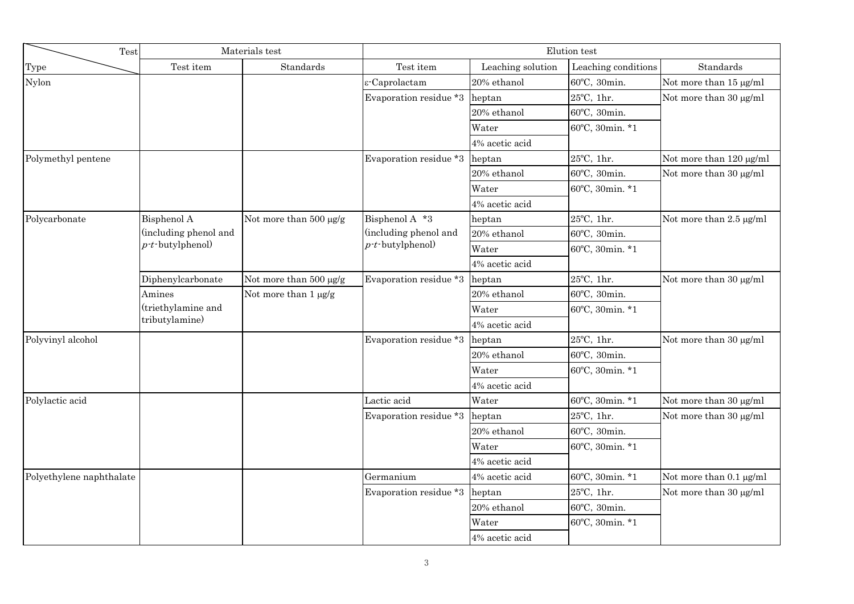| Test                     |                       | Materials test            | Elution test           |                   |                      |                         |
|--------------------------|-----------------------|---------------------------|------------------------|-------------------|----------------------|-------------------------|
| Type                     | Test item             | Standards                 | Test item              | Leaching solution | Leaching conditions  | Standards               |
| Nylon                    |                       |                           | ε-Caprolactam          | 20% ethanol       | 60°C, 30min.         | Not more than 15 µg/ml  |
|                          |                       |                           | Evaporation residue *3 | heptan            | $25^{\circ}$ C, 1hr. | Not more than 30 µg/ml  |
|                          |                       |                           |                        | 20% ethanol       | 60°C, 30min.         |                         |
|                          |                       |                           |                        | Water             | 60°C, 30min. *1      |                         |
|                          |                       |                           |                        | 4% acetic acid    |                      |                         |
| Polymethyl pentene       |                       |                           | Evaporation residue *3 | heptan            | 25°C, 1hr.           | Not more than 120 µg/ml |
|                          |                       |                           |                        | 20% ethanol       | 60°C, 30min.         | Not more than 30 µg/ml  |
|                          |                       |                           |                        | Water             | 60°C, 30min. *1      |                         |
|                          |                       |                           |                        | 4% acetic acid    |                      |                         |
| Polycarbonate            | Bisphenol A           | Not more than 500 µg/g    | Bisphenol A *3         | heptan            | 25°C, 1hr.           | Not more than 2.5 µg/ml |
|                          | (including phenol and |                           | (including phenol and  | 20% ethanol       | 60°C, 30min.         |                         |
|                          | $p$ -t-butylphenol)   |                           | $p$ -t-butylphenol)    | Water             | 60°C, 30min. *1      |                         |
|                          |                       |                           |                        | 4% acetic acid    |                      |                         |
|                          | Diphenylcarbonate     | Not more than 500 µg/g    | Evaporation residue *3 | heptan            | 25°C, 1hr.           | Not more than 30 µg/ml  |
|                          | Amines                | Not more than $1 \mu g/g$ |                        | 20% ethanol       | 60°C, 30min.         |                         |
|                          | (triethylamine and    |                           |                        | Water             | 60°C, 30min. *1      |                         |
|                          | tributylamine)        |                           |                        | 4% acetic acid    |                      |                         |
| Polyvinyl alcohol        |                       |                           | Evaporation residue *3 | heptan            | 25°C, 1hr.           | Not more than 30 µg/ml  |
|                          |                       |                           |                        | 20% ethanol       | 60°C, 30min.         |                         |
|                          |                       |                           |                        | Water             | 60°C, 30min. *1      |                         |
|                          |                       |                           |                        | 4% acetic acid    |                      |                         |
| Polylactic acid          |                       |                           | Lactic acid            | Water             | 60°C, 30min. *1      | Not more than 30 µg/ml  |
|                          |                       |                           | Evaporation residue *3 | heptan            | 25°C, 1hr.           | Not more than 30 µg/ml  |
|                          |                       |                           |                        | 20% ethanol       | 60°C, 30min.         |                         |
|                          |                       |                           |                        | Water             | 60°C, 30min. *1      |                         |
|                          |                       |                           |                        | 4% acetic acid    |                      |                         |
| Polyethylene naphthalate |                       |                           | Germanium              | 4% acetic acid    | 60°C, 30min. *1      | Not more than 0.1 µg/ml |
|                          |                       |                           | Evaporation residue *3 | heptan            | 25°C, 1hr.           | Not more than 30 µg/ml  |
|                          |                       |                           |                        | 20% ethanol       | 60°C, 30min.         |                         |
|                          |                       |                           |                        | Water             | 60°C, 30min. *1      |                         |
|                          |                       |                           |                        | 4% acetic acid    |                      |                         |